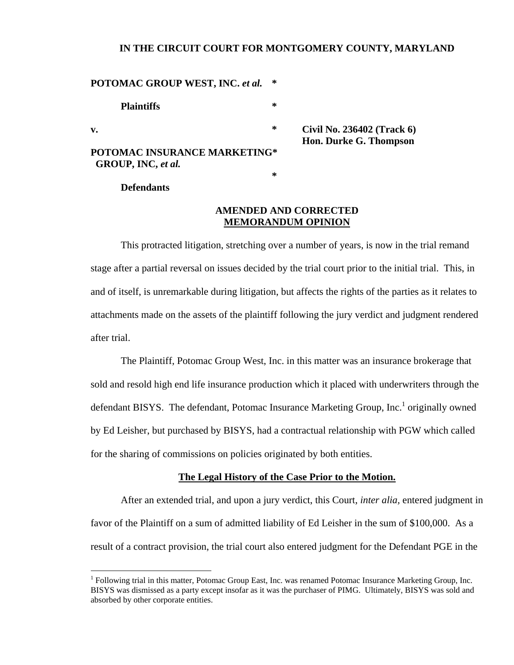# **IN THE CIRCUIT COURT FOR MONTGOMERY COUNTY, MARYLAND**

# **POTOMAC GROUP WEST, INC. et al.**

 **Plaintiffs \* v. \* Civil No. 236402 (Track 6)** 

**POTOMAC INSURANCE MARKETING\* GROUP, INC,** *et al.*  **\***   **Hon. Durke G. Thompson** 

 **Defendants** 

 $\overline{a}$ 

## **AMENDED AND CORRECTED MEMORANDUM OPINION**

 This protracted litigation, stretching over a number of years, is now in the trial remand stage after a partial reversal on issues decided by the trial court prior to the initial trial. This, in and of itself, is unremarkable during litigation, but affects the rights of the parties as it relates to attachments made on the assets of the plaintiff following the jury verdict and judgment rendered after trial.

 The Plaintiff, Potomac Group West, Inc. in this matter was an insurance brokerage that sold and resold high end life insurance production which it placed with underwriters through the defendant BISYS. The defendant, Potomac Insurance Marketing Group, Inc.<sup>1</sup> originally owned by Ed Leisher, but purchased by BISYS, had a contractual relationship with PGW which called for the sharing of commissions on policies originated by both entities.

## **The Legal History of the Case Prior to the Motion.**

 After an extended trial, and upon a jury verdict, this Court, *inter alia,* entered judgment in favor of the Plaintiff on a sum of admitted liability of Ed Leisher in the sum of \$100,000. As a result of a contract provision, the trial court also entered judgment for the Defendant PGE in the

<sup>&</sup>lt;sup>1</sup> Following trial in this matter, Potomac Group East, Inc. was renamed Potomac Insurance Marketing Group, Inc. BISYS was dismissed as a party except insofar as it was the purchaser of PIMG. Ultimately, BISYS was sold and absorbed by other corporate entities.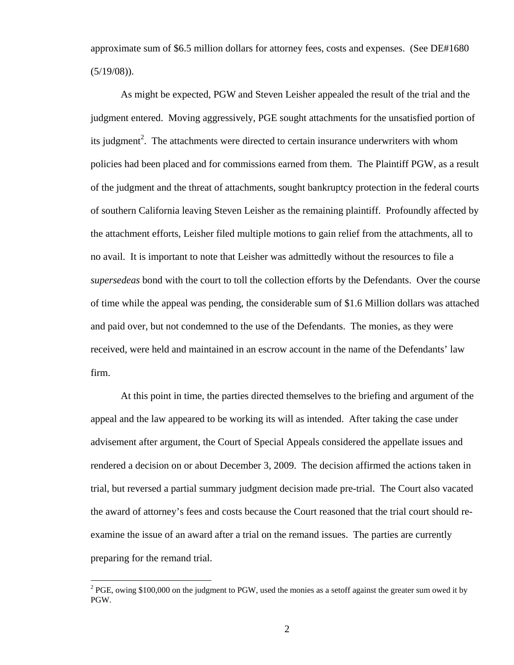approximate sum of \$6.5 million dollars for attorney fees, costs and expenses. (See DE#1680  $(5/19/08)$ .

 As might be expected, PGW and Steven Leisher appealed the result of the trial and the judgment entered. Moving aggressively, PGE sought attachments for the unsatisfied portion of its judgment<sup>2</sup>. The attachments were directed to certain insurance underwriters with whom policies had been placed and for commissions earned from them. The Plaintiff PGW, as a result of the judgment and the threat of attachments, sought bankruptcy protection in the federal courts of southern California leaving Steven Leisher as the remaining plaintiff. Profoundly affected by the attachment efforts, Leisher filed multiple motions to gain relief from the attachments, all to no avail. It is important to note that Leisher was admittedly without the resources to file a *supersedeas* bond with the court to toll the collection efforts by the Defendants. Over the course of time while the appeal was pending, the considerable sum of \$1.6 Million dollars was attached and paid over, but not condemned to the use of the Defendants. The monies, as they were received, were held and maintained in an escrow account in the name of the Defendants' law firm.

 At this point in time, the parties directed themselves to the briefing and argument of the appeal and the law appeared to be working its will as intended. After taking the case under advisement after argument, the Court of Special Appeals considered the appellate issues and rendered a decision on or about December 3, 2009. The decision affirmed the actions taken in trial, but reversed a partial summary judgment decision made pre-trial. The Court also vacated the award of attorney's fees and costs because the Court reasoned that the trial court should reexamine the issue of an award after a trial on the remand issues. The parties are currently preparing for the remand trial.

 $\overline{a}$ 

 $2^{2}$  PGE, owing \$100,000 on the judgment to PGW, used the monies as a setoff against the greater sum owed it by PGW.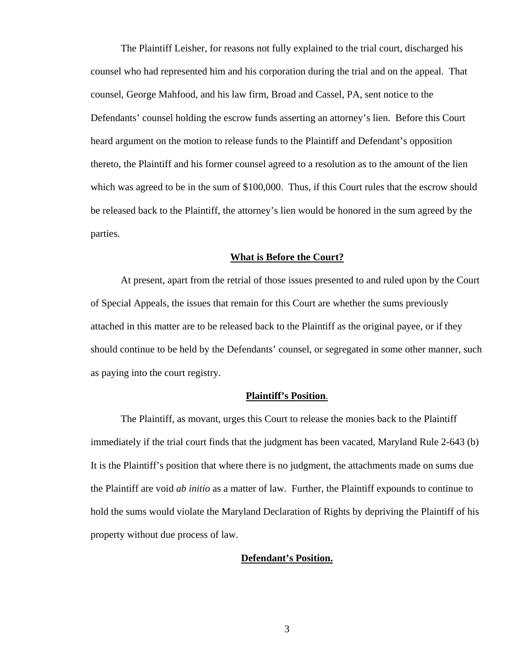The Plaintiff Leisher, for reasons not fully explained to the trial court, discharged his counsel who had represented him and his corporation during the trial and on the appeal. That counsel, George Mahfood, and his law firm, Broad and Cassel, PA, sent notice to the Defendants' counsel holding the escrow funds asserting an attorney's lien. Before this Court heard argument on the motion to release funds to the Plaintiff and Defendant's opposition thereto, the Plaintiff and his former counsel agreed to a resolution as to the amount of the lien which was agreed to be in the sum of \$100,000. Thus, if this Court rules that the escrow should be released back to the Plaintiff, the attorney's lien would be honored in the sum agreed by the parties.

#### **What is Before the Court?**

 At present, apart from the retrial of those issues presented to and ruled upon by the Court of Special Appeals, the issues that remain for this Court are whether the sums previously attached in this matter are to be released back to the Plaintiff as the original payee, or if they should continue to be held by the Defendants' counsel, or segregated in some other manner, such as paying into the court registry.

## **Plaintiff's Position**.

 The Plaintiff, as movant, urges this Court to release the monies back to the Plaintiff immediately if the trial court finds that the judgment has been vacated, Maryland Rule 2-643 (b) It is the Plaintiff's position that where there is no judgment, the attachments made on sums due the Plaintiff are void *ab initio* as a matter of law. Further, the Plaintiff expounds to continue to hold the sums would violate the Maryland Declaration of Rights by depriving the Plaintiff of his property without due process of law.

### **Defendant's Position.**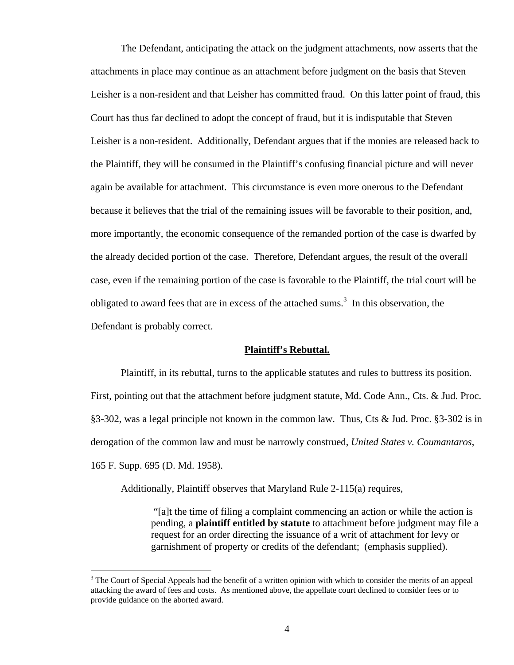The Defendant, anticipating the attack on the judgment attachments, now asserts that the attachments in place may continue as an attachment before judgment on the basis that Steven Leisher is a non-resident and that Leisher has committed fraud. On this latter point of fraud, this Court has thus far declined to adopt the concept of fraud, but it is indisputable that Steven Leisher is a non-resident. Additionally, Defendant argues that if the monies are released back to the Plaintiff, they will be consumed in the Plaintiff's confusing financial picture and will never again be available for attachment. This circumstance is even more onerous to the Defendant because it believes that the trial of the remaining issues will be favorable to their position, and, more importantly, the economic consequence of the remanded portion of the case is dwarfed by the already decided portion of the case. Therefore, Defendant argues, the result of the overall case, even if the remaining portion of the case is favorable to the Plaintiff, the trial court will be obligated to award fees that are in excess of the attached sums.<sup>3</sup> In this observation, the Defendant is probably correct.

#### **Plaintiff's Rebuttal.**

 Plaintiff, in its rebuttal, turns to the applicable statutes and rules to buttress its position. First, pointing out that the attachment before judgment statute, Md. Code Ann., Cts. & Jud. Proc. §3-302, was a legal principle not known in the common law. Thus, Cts & Jud. Proc. §3-302 is in derogation of the common law and must be narrowly construed, *United States v. Coumantaros*, 165 F. Supp. 695 (D. Md. 1958).

Additionally, Plaintiff observes that Maryland Rule 2-115(a) requires,

 $\overline{a}$ 

 "[a]t the time of filing a complaint commencing an action or while the action is pending, a **plaintiff entitled by statute** to attachment before judgment may file a request for an order directing the issuance of a writ of attachment for levy or garnishment of property or credits of the defendant; (emphasis supplied).

 $3$  The Court of Special Appeals had the benefit of a written opinion with which to consider the merits of an appeal attacking the award of fees and costs. As mentioned above, the appellate court declined to consider fees or to provide guidance on the aborted award.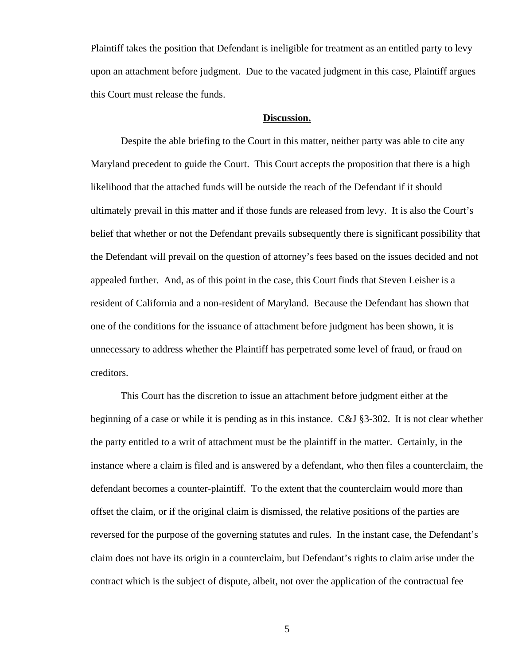Plaintiff takes the position that Defendant is ineligible for treatment as an entitled party to levy upon an attachment before judgment. Due to the vacated judgment in this case, Plaintiff argues this Court must release the funds.

## **Discussion.**

 Despite the able briefing to the Court in this matter, neither party was able to cite any Maryland precedent to guide the Court. This Court accepts the proposition that there is a high likelihood that the attached funds will be outside the reach of the Defendant if it should ultimately prevail in this matter and if those funds are released from levy. It is also the Court's belief that whether or not the Defendant prevails subsequently there is significant possibility that the Defendant will prevail on the question of attorney's fees based on the issues decided and not appealed further. And, as of this point in the case, this Court finds that Steven Leisher is a resident of California and a non-resident of Maryland. Because the Defendant has shown that one of the conditions for the issuance of attachment before judgment has been shown, it is unnecessary to address whether the Plaintiff has perpetrated some level of fraud, or fraud on creditors.

 This Court has the discretion to issue an attachment before judgment either at the beginning of a case or while it is pending as in this instance. C&J §3-302. It is not clear whether the party entitled to a writ of attachment must be the plaintiff in the matter. Certainly, in the instance where a claim is filed and is answered by a defendant, who then files a counterclaim, the defendant becomes a counter-plaintiff. To the extent that the counterclaim would more than offset the claim, or if the original claim is dismissed, the relative positions of the parties are reversed for the purpose of the governing statutes and rules. In the instant case, the Defendant's claim does not have its origin in a counterclaim, but Defendant's rights to claim arise under the contract which is the subject of dispute, albeit, not over the application of the contractual fee

5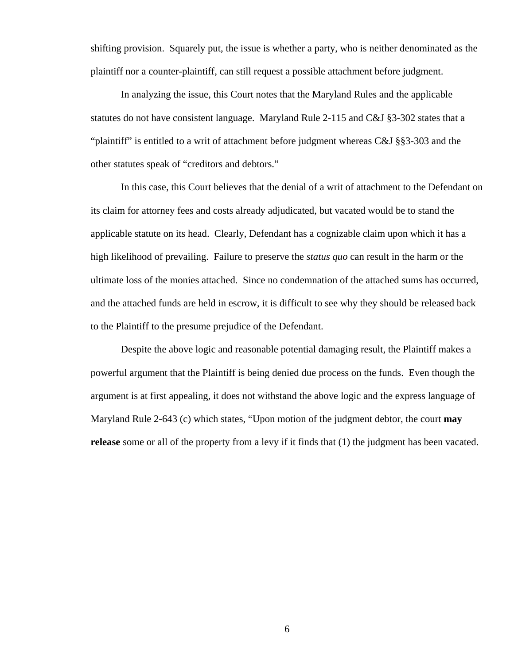shifting provision. Squarely put, the issue is whether a party, who is neither denominated as the plaintiff nor a counter-plaintiff, can still request a possible attachment before judgment.

 In analyzing the issue, this Court notes that the Maryland Rules and the applicable statutes do not have consistent language. Maryland Rule 2-115 and C&J §3-302 states that a "plaintiff" is entitled to a writ of attachment before judgment whereas C&J §§3-303 and the other statutes speak of "creditors and debtors."

 In this case, this Court believes that the denial of a writ of attachment to the Defendant on its claim for attorney fees and costs already adjudicated, but vacated would be to stand the applicable statute on its head. Clearly, Defendant has a cognizable claim upon which it has a high likelihood of prevailing. Failure to preserve the *status quo* can result in the harm or the ultimate loss of the monies attached. Since no condemnation of the attached sums has occurred, and the attached funds are held in escrow, it is difficult to see why they should be released back to the Plaintiff to the presume prejudice of the Defendant.

 Despite the above logic and reasonable potential damaging result, the Plaintiff makes a powerful argument that the Plaintiff is being denied due process on the funds. Even though the argument is at first appealing, it does not withstand the above logic and the express language of Maryland Rule 2-643 (c) which states, "Upon motion of the judgment debtor, the court **may release** some or all of the property from a levy if it finds that (1) the judgment has been vacated.